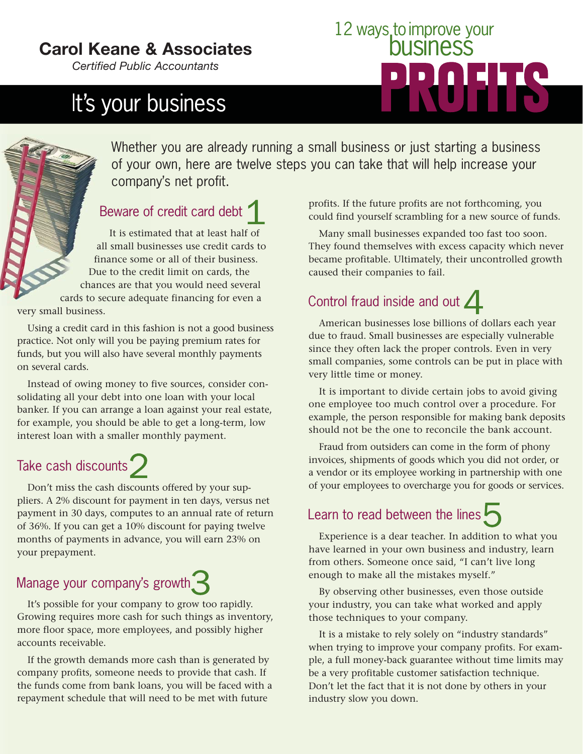### **Carol Keane & Associates**

*Certified Public Accountants*

# It's your business

# 12 ways to improve your 14 **14**

Whether you are already running a small business or just starting a business of your own, here are twelve steps you can take that will help increase your company's net profit.

#### Beware of credit card debt

It is estimated that at least half of all small businesses use credit cards to finance some or all of their business. Due to the credit limit on cards, the chances are that you would need several cards to secure adequate financing for even a

very small business.

Using a credit card in this fashion is not a good business practice. Not only will you be paying premium rates for funds, but you will also have several monthly payments on several cards.

Instead of owing money to five sources, consider consolidating all your debt into one loan with your local banker. If you can arrange a loan against your real estate, for example, you should be able to get a long-term, low interest loan with a smaller monthly payment.

### Take cash discounts

Don't miss the cash discounts offered by your suppliers. A 2% discount for payment in ten days, versus net payment in 30 days, computes to an annual rate of return of 36%. If you can get a 10% discount for paying twelve months of payments in advance, you will earn 23% on your prepayment.

#### Manage your company's growth

It's possible for your company to grow too rapidly. Growing requires more cash for such things as inventory, more floor space, more employees, and possibly higher accounts receivable.

If the growth demands more cash than is generated by company profits, someone needs to provide that cash. If the funds come from bank loans, you will be faced with a repayment schedule that will need to be met with future

profits. If the future profits are not forthcoming, you could find yourself scrambling for a new source of funds.

Many small businesses expanded too fast too soon. They found themselves with excess capacity which never became profitable. Ultimately, their uncontrolled growth caused their companies to fail.

### Control fraud inside and out  $\angle$

American businesses lose billions of dollars each year due to fraud. Small businesses are especially vulnerable since they often lack the proper controls. Even in very small companies, some controls can be put in place with very little time or money.

It is important to divide certain jobs to avoid giving one employee too much control over a procedure. For example, the person responsible for making bank deposits should not be the one to reconcile the bank account.

Fraud from outsiders can come in the form of phony invoices, shipments of goods which you did not order, or a vendor or its employee working in partnership with one of your employees to overcharge you for goods or services.

#### Learn to read between the lines

Experience is a dear teacher. In addition to what you have learned in your own business and industry, learn from others. Someone once said, "I can't live long enough to make all the mistakes myself."

By observing other businesses, even those outside your industry, you can take what worked and apply those techniques to your company.

It is a mistake to rely solely on "industry standards" when trying to improve your company profits. For example, a full money-back guarantee without time limits may be a very profitable customer satisfaction technique. Don't let the fact that it is not done by others in your industry slow you down.